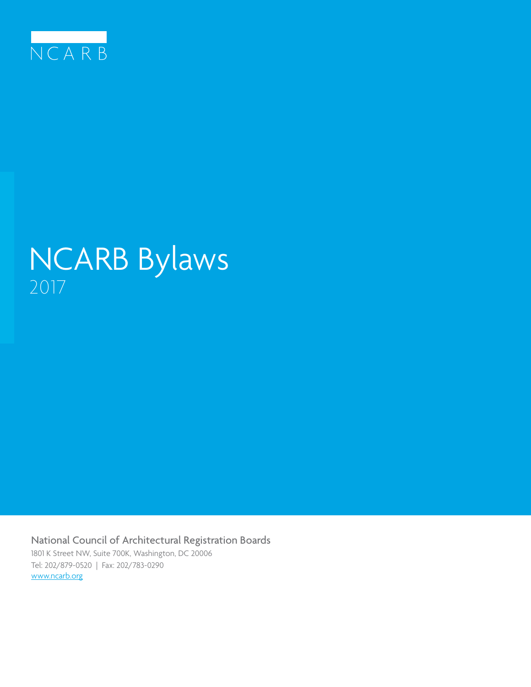

# NCARB Bylaws 2017

National Council of Architectural Registration Boards 1801 K Street NW, Suite 700K, Washington, DC 20006 Tel: 202/879-0520 | Fax: 202/783-0290 www.ncarb.org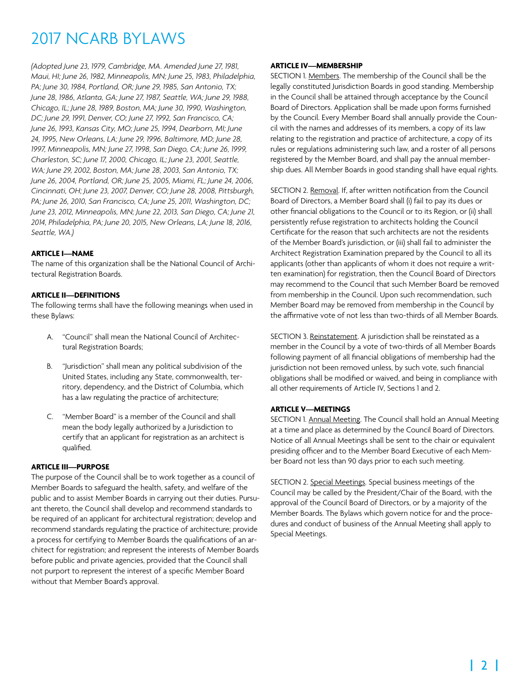*(Adopted June 23, 1979, Cambridge, MA. Amended June 27, 1981, Maui, HI; June 26, 1982, Minneapolis, MN; June 25, 1983, Philadelphia, PA; June 30, 1984, Portland, OR; June 29, 1985, San Antonio, TX; June 28, 1986, Atlanta, GA; June 27, 1987, Seattle, WA; June 29, 1988, Chicago, IL; June 28, 1989, Boston, MA; June 30, 1990, Washington, DC; June 29, 1991, Denver, CO; June 27, 1992, San Francisco, CA; June 26, 1993, Kansas City, MO; June 25, 1994, Dearborn, MI; June 24, 1995, New Orleans, LA; June 29, 1996, Baltimore, MD; June 28, 1997, Minneapolis, MN; June 27, 1998, San Diego, CA; June 26, 1999, Charleston, SC; June 17, 2000, Chicago, IL; June 23, 2001, Seattle, WA; June 29, 2002, Boston, MA; June 28, 2003, San Antonio, TX; June 26, 2004, Portland, OR; June 25, 2005, Miami, FL; June 24, 2006, Cincinnati, OH; June 23, 2007, Denver, CO; June 28, 2008, Pittsburgh, PA; June 26, 2010, San Francisco, CA; June 25, 2011, Washington, DC; June 23, 2012, Minneapolis, MN; June 22, 2013, San Diego, CA; June 21, 2014, Philadelphia, PA; June 20, 2015, New Orleans, LA; June 18, 2016, Seattle, WA.)*

#### **ARTICLE I—NAME**

The name of this organization shall be the National Council of Architectural Registration Boards.

#### **ARTICLE II—DEFINITIONS**

The following terms shall have the following meanings when used in these Bylaws:

- A. "Council" shall mean the National Council of Architectural Registration Boards;
- B. "Jurisdiction" shall mean any political subdivision of the United States, including any State, commonwealth, territory, dependency, and the District of Columbia, which has a law regulating the practice of architecture;
- C. "Member Board" is a member of the Council and shall mean the body legally authorized by a Jurisdiction to certify that an applicant for registration as an architect is qualified.

#### **ARTICLE III—PURPOSE**

The purpose of the Council shall be to work together as a council of Member Boards to safeguard the health, safety, and welfare of the public and to assist Member Boards in carrying out their duties. Pursuant thereto, the Council shall develop and recommend standards to be required of an applicant for architectural registration; develop and recommend standards regulating the practice of architecture; provide a process for certifying to Member Boards the qualifications of an architect for registration; and represent the interests of Member Boards before public and private agencies, provided that the Council shall not purport to represent the interest of a specific Member Board without that Member Board's approval.

#### **ARTICLE IV—MEMBERSHIP**

SECTION 1. Members. The membership of the Council shall be the legally constituted Jurisdiction Boards in good standing. Membership in the Council shall be attained through acceptance by the Council Board of Directors. Application shall be made upon forms furnished by the Council. Every Member Board shall annually provide the Council with the names and addresses of its members, a copy of its law relating to the registration and practice of architecture, a copy of its rules or regulations administering such law, and a roster of all persons registered by the Member Board, and shall pay the annual membership dues. All Member Boards in good standing shall have equal rights.

SECTION 2. Removal. If, after written notification from the Council Board of Directors, a Member Board shall (i) fail to pay its dues or other financial obligations to the Council or to its Region, or (ii) shall persistently refuse registration to architects holding the Council Certificate for the reason that such architects are not the residents of the Member Board's jurisdiction, or (iii) shall fail to administer the Architect Registration Examination prepared by the Council to all its applicants (other than applicants of whom it does not require a written examination) for registration, then the Council Board of Directors may recommend to the Council that such Member Board be removed from membership in the Council. Upon such recommendation, such Member Board may be removed from membership in the Council by the affirmative vote of not less than two-thirds of all Member Boards.

SECTION 3. Reinstatement. A jurisdiction shall be reinstated as a member in the Council by a vote of two-thirds of all Member Boards following payment of all financial obligations of membership had the jurisdiction not been removed unless, by such vote, such financial obligations shall be modified or waived, and being in compliance with all other requirements of Article IV, Sections 1 and 2.

### **ARTICLE V—MEETINGS**

SECTION 1. Annual Meeting. The Council shall hold an Annual Meeting at a time and place as determined by the Council Board of Directors. Notice of all Annual Meetings shall be sent to the chair or equivalent presiding officer and to the Member Board Executive of each Member Board not less than 90 days prior to each such meeting.

SECTION 2. Special Meetings. Special business meetings of the Council may be called by the President/Chair of the Board, with the approval of the Council Board of Directors, or by a majority of the Member Boards. The Bylaws which govern notice for and the procedures and conduct of business of the Annual Meeting shall apply to Special Meetings.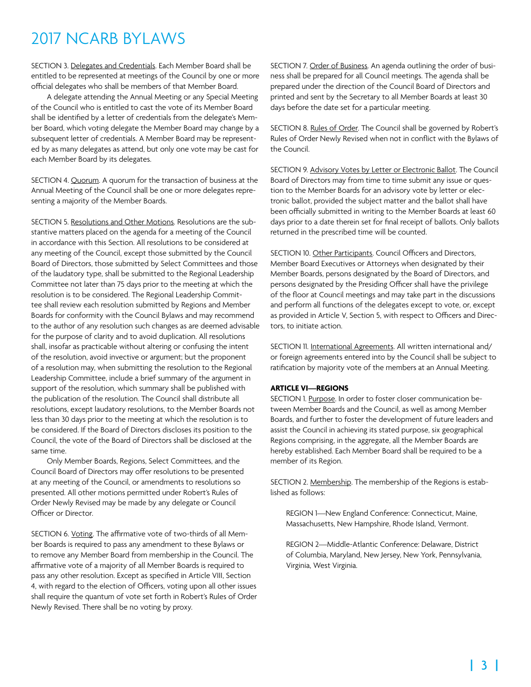SECTION 3. Delegates and Credentials. Each Member Board shall be entitled to be represented at meetings of the Council by one or more official delegates who shall be members of that Member Board.

A delegate attending the Annual Meeting or any Special Meeting of the Council who is entitled to cast the vote of its Member Board shall be identified by a letter of credentials from the delegate's Member Board, which voting delegate the Member Board may change by a subsequent letter of credentials. A Member Board may be represented by as many delegates as attend, but only one vote may be cast for each Member Board by its delegates.

SECTION 4. Quorum. A quorum for the transaction of business at the Annual Meeting of the Council shall be one or more delegates representing a majority of the Member Boards.

SECTION 5. Resolutions and Other Motions. Resolutions are the substantive matters placed on the agenda for a meeting of the Council in accordance with this Section. All resolutions to be considered at any meeting of the Council, except those submitted by the Council Board of Directors, those submitted by Select Committees and those of the laudatory type, shall be submitted to the Regional Leadership Committee not later than 75 days prior to the meeting at which the resolution is to be considered. The Regional Leadership Committee shall review each resolution submitted by Regions and Member Boards for conformity with the Council Bylaws and may recommend to the author of any resolution such changes as are deemed advisable for the purpose of clarity and to avoid duplication. All resolutions shall, insofar as practicable without altering or confusing the intent of the resolution, avoid invective or argument; but the proponent of a resolution may, when submitting the resolution to the Regional Leadership Committee, include a brief summary of the argument in support of the resolution, which summary shall be published with the publication of the resolution. The Council shall distribute all resolutions, except laudatory resolutions, to the Member Boards not less than 30 days prior to the meeting at which the resolution is to be considered. If the Board of Directors discloses its position to the Council, the vote of the Board of Directors shall be disclosed at the same time.

Only Member Boards, Regions, Select Committees, and the Council Board of Directors may offer resolutions to be presented at any meeting of the Council, or amendments to resolutions so presented. All other motions permitted under Robert's Rules of Order Newly Revised may be made by any delegate or Council Officer or Director.

SECTION 6. Voting. The affirmative vote of two-thirds of all Member Boards is required to pass any amendment to these Bylaws or to remove any Member Board from membership in the Council. The affirmative vote of a majority of all Member Boards is required to pass any other resolution. Except as specified in Article VIII, Section 4, with regard to the election of Officers, voting upon all other issues shall require the quantum of vote set forth in Robert's Rules of Order Newly Revised. There shall be no voting by proxy.

SECTION 7. Order of Business. An agenda outlining the order of business shall be prepared for all Council meetings. The agenda shall be prepared under the direction of the Council Board of Directors and printed and sent by the Secretary to all Member Boards at least 30 days before the date set for a particular meeting.

SECTION 8. Rules of Order. The Council shall be governed by Robert's Rules of Order Newly Revised when not in conflict with the Bylaws of the Council.

SECTION 9. Advisory Votes by Letter or Electronic Ballot. The Council Board of Directors may from time to time submit any issue or question to the Member Boards for an advisory vote by letter or electronic ballot, provided the subject matter and the ballot shall have been officially submitted in writing to the Member Boards at least 60 days prior to a date therein set for final receipt of ballots. Only ballots returned in the prescribed time will be counted.

SECTION 10. Other Participants. Council Officers and Directors, Member Board Executives or Attorneys when designated by their Member Boards, persons designated by the Board of Directors, and persons designated by the Presiding Officer shall have the privilege of the floor at Council meetings and may take part in the discussions and perform all functions of the delegates except to vote, or, except as provided in Article V, Section 5, with respect to Officers and Directors, to initiate action.

SECTION 11. International Agreements. All written international and/ or foreign agreements entered into by the Council shall be subject to ratification by majority vote of the members at an Annual Meeting.

#### **ARTICLE VI—REGIONS**

SECTION 1. Purpose. In order to foster closer communication between Member Boards and the Council, as well as among Member Boards, and further to foster the development of future leaders and assist the Council in achieving its stated purpose, six geographical Regions comprising, in the aggregate, all the Member Boards are hereby established. Each Member Board shall be required to be a member of its Region.

SECTION 2. Membership. The membership of the Regions is established as follows:

REGION 1—New England Conference: Connecticut, Maine, Massachusetts, New Hampshire, Rhode Island, Vermont.

REGION 2—Middle-Atlantic Conference: Delaware, District of Columbia, Maryland, New Jersey, New York, Pennsylvania, Virginia, West Virginia.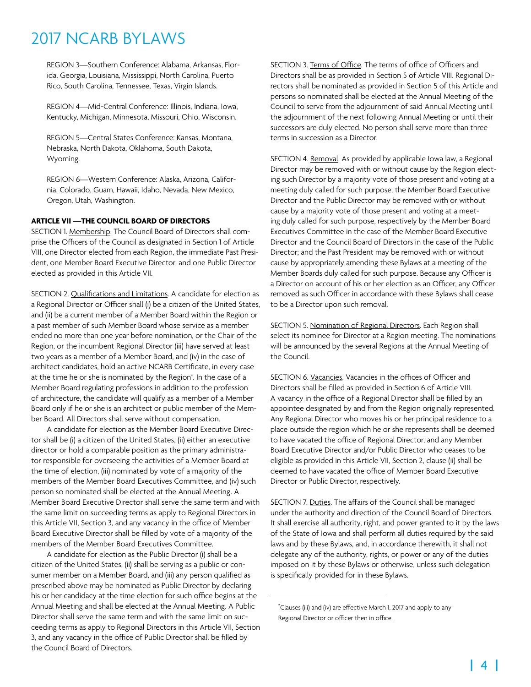REGION 3—Southern Conference: Alabama, Arkansas, Florida, Georgia, Louisiana, Mississippi, North Carolina, Puerto Rico, South Carolina, Tennessee, Texas, Virgin Islands.

REGION 4—Mid-Central Conference: Illinois, Indiana, Iowa, Kentucky, Michigan, Minnesota, Missouri, Ohio, Wisconsin.

REGION 5—Central States Conference: Kansas, Montana, Nebraska, North Dakota, Oklahoma, South Dakota, Wyoming.

REGION 6—Western Conference: Alaska, Arizona, California, Colorado, Guam, Hawaii, Idaho, Nevada, New Mexico, Oregon, Utah, Washington.

#### **ARTICLE VII —THE COUNCIL BOARD OF DIRECTORS**

SECTION 1. Membership. The Council Board of Directors shall comprise the Officers of the Council as designated in Section 1 of Article VIII, one Director elected from each Region, the immediate Past President, one Member Board Executive Director, and one Public Director elected as provided in this Article VII.

SECTION 2. Qualifications and Limitations. A candidate for election as a Regional Director or Officer shall (i) be a citizen of the United States, and (ii) be a current member of a Member Board within the Region or a past member of such Member Board whose service as a member ended no more than one year before nomination, or the Chair of the Region, or the incumbent Regional Director (iii) have served at least two years as a member of a Member Board, and (iv) in the case of architect candidates, hold an active NCARB Certificate, in every case at the time he or she is nominated by the Region\* . In the case of a Member Board regulating professions in addition to the profession of architecture, the candidate will qualify as a member of a Member Board only if he or she is an architect or public member of the Member Board. All Directors shall serve without compensation.

A candidate for election as the Member Board Executive Director shall be (i) a citizen of the United States, (ii) either an executive director or hold a comparable position as the primary administrator responsible for overseeing the activities of a Member Board at the time of election, (iii) nominated by vote of a majority of the members of the Member Board Executives Committee, and (iv) such person so nominated shall be elected at the Annual Meeting. A Member Board Executive Director shall serve the same term and with the same limit on succeeding terms as apply to Regional Directors in this Article VII, Section 3, and any vacancy in the office of Member Board Executive Director shall be filled by vote of a majority of the members of the Member Board Executives Committee.

A candidate for election as the Public Director (i) shall be a citizen of the United States, (ii) shall be serving as a public or consumer member on a Member Board, and (iii) any person qualified as prescribed above may be nominated as Public Director by declaring his or her candidacy at the time election for such office begins at the Annual Meeting and shall be elected at the Annual Meeting. A Public Director shall serve the same term and with the same limit on succeeding terms as apply to Regional Directors in this Article VII, Section 3, and any vacancy in the office of Public Director shall be filled by the Council Board of Directors.

SECTION 3. Terms of Office. The terms of office of Officers and Directors shall be as provided in Section 5 of Article VIII. Regional Directors shall be nominated as provided in Section 5 of this Article and persons so nominated shall be elected at the Annual Meeting of the Council to serve from the adjournment of said Annual Meeting until the adjournment of the next following Annual Meeting or until their successors are duly elected. No person shall serve more than three terms in succession as a Director.

SECTION 4. Removal. As provided by applicable Iowa law, a Regional Director may be removed with or without cause by the Region electing such Director by a majority vote of those present and voting at a meeting duly called for such purpose; the Member Board Executive Director and the Public Director may be removed with or without cause by a majority vote of those present and voting at a meeting duly called for such purpose, respectively by the Member Board Executives Committee in the case of the Member Board Executive Director and the Council Board of Directors in the case of the Public Director; and the Past President may be removed with or without cause by appropriately amending these Bylaws at a meeting of the Member Boards duly called for such purpose. Because any Officer is a Director on account of his or her election as an Officer, any Officer removed as such Officer in accordance with these Bylaws shall cease to be a Director upon such removal.

SECTION 5. Nomination of Regional Directors. Each Region shall select its nominee for Director at a Region meeting. The nominations will be announced by the several Regions at the Annual Meeting of the Council.

SECTION 6. Vacancies. Vacancies in the offices of Officer and Directors shall be filled as provided in Section 6 of Article VIII. A vacancy in the office of a Regional Director shall be filled by an appointee designated by and from the Region originally represented. Any Regional Director who moves his or her principal residence to a place outside the region which he or she represents shall be deemed to have vacated the office of Regional Director, and any Member Board Executive Director and/or Public Director who ceases to be eligible as provided in this Article VII, Section 2, clause (ii) shall be deemed to have vacated the office of Member Board Executive Director or Public Director, respectively.

SECTION 7. Duties. The affairs of the Council shall be managed under the authority and direction of the Council Board of Directors. It shall exercise all authority, right, and power granted to it by the laws of the State of Iowa and shall perform all duties required by the said laws and by these Bylaws, and, in accordance therewith, it shall not delegate any of the authority, rights, or power or any of the duties imposed on it by these Bylaws or otherwise, unless such delegation is specifically provided for in these Bylaws.

<sup>\*</sup> Clauses (iii) and (iv) are effective March 1, 2017 and apply to any Regional Director or officer then in office.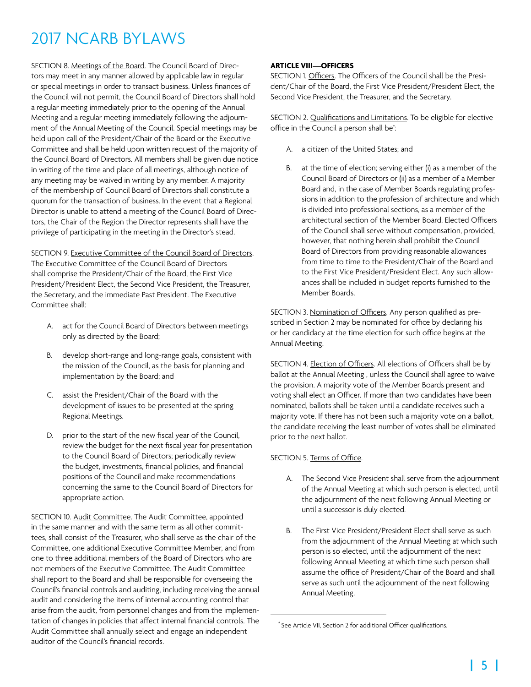SECTION 8. Meetings of the Board. The Council Board of Directors may meet in any manner allowed by applicable law in regular or special meetings in order to transact business. Unless finances of the Council will not permit, the Council Board of Directors shall hold a regular meeting immediately prior to the opening of the Annual Meeting and a regular meeting immediately following the adjournment of the Annual Meeting of the Council. Special meetings may be held upon call of the President/Chair of the Board or the Executive Committee and shall be held upon written request of the majority of the Council Board of Directors. All members shall be given due notice in writing of the time and place of all meetings, although notice of any meeting may be waived in writing by any member. A majority of the membership of Council Board of Directors shall constitute a quorum for the transaction of business. In the event that a Regional Director is unable to attend a meeting of the Council Board of Directors, the Chair of the Region the Director represents shall have the privilege of participating in the meeting in the Director's stead.

SECTION 9. Executive Committee of the Council Board of Directors. The Executive Committee of the Council Board of Directors shall comprise the President/Chair of the Board, the First Vice President/President Elect, the Second Vice President, the Treasurer, the Secretary, and the immediate Past President. The Executive Committee shall:

- A. act for the Council Board of Directors between meetings only as directed by the Board;
- B. develop short-range and long-range goals, consistent with the mission of the Council, as the basis for planning and implementation by the Board; and
- C. assist the President/Chair of the Board with the development of issues to be presented at the spring Regional Meetings.
- D. prior to the start of the new fiscal year of the Council, review the budget for the next fiscal year for presentation to the Council Board of Directors; periodically review the budget, investments, financial policies, and financial positions of the Council and make recommendations concerning the same to the Council Board of Directors for appropriate action.

SECTION 10. Audit Committee. The Audit Committee, appointed in the same manner and with the same term as all other committees, shall consist of the Treasurer, who shall serve as the chair of the Committee, one additional Executive Committee Member, and from one to three additional members of the Board of Directors who are not members of the Executive Committee. The Audit Committee shall report to the Board and shall be responsible for overseeing the Council's financial controls and auditing, including receiving the annual audit and considering the items of internal accounting control that arise from the audit, from personnel changes and from the implementation of changes in policies that affect internal financial controls. The Audit Committee shall annually select and engage an independent auditor of the Council's financial records.

### **ARTICLE VIII—OFFICERS**

SECTION 1. Officers. The Officers of the Council shall be the President/Chair of the Board, the First Vice President/President Elect, the Second Vice President, the Treasurer, and the Secretary.

SECTION 2. Qualifications and Limitations. To be eligible for elective office in the Council a person shall be<sup>\*</sup>: :

- A. a citizen of the United States; and
- B. at the time of election; serving either (i) as a member of the Council Board of Directors or (ii) as a member of a Member Board and, in the case of Member Boards regulating professions in addition to the profession of architecture and which is divided into professional sections, as a member of the architectural section of the Member Board. Elected Officers of the Council shall serve without compensation, provided, however, that nothing herein shall prohibit the Council Board of Directors from providing reasonable allowances from time to time to the President/Chair of the Board and to the First Vice President/President Elect. Any such allowances shall be included in budget reports furnished to the Member Boards.

SECTION 3. Nomination of Officers. Any person qualified as prescribed in Section 2 may be nominated for office by declaring his or her candidacy at the time election for such office begins at the Annual Meeting.

SECTION 4. Election of Officers. All elections of Officers shall be by ballot at the Annual Meeting , unless the Council shall agree to waive the provision. A majority vote of the Member Boards present and voting shall elect an Officer. If more than two candidates have been nominated, ballots shall be taken until a candidate receives such a majority vote. If there has not been such a majority vote on a ballot, the candidate receiving the least number of votes shall be eliminated prior to the next ballot.

### SECTION 5. Terms of Office.

- A. The Second Vice President shall serve from the adjournment of the Annual Meeting at which such person is elected, until the adjournment of the next following Annual Meeting or until a successor is duly elected.
- B. The First Vice President/President Elect shall serve as such from the adjournment of the Annual Meeting at which such person is so elected, until the adjournment of the next following Annual Meeting at which time such person shall assume the office of President/Chair of the Board and shall serve as such until the adjournment of the next following Annual Meeting.

<sup>\*</sup> See Article VII, Section 2 for additional Officer qualifications.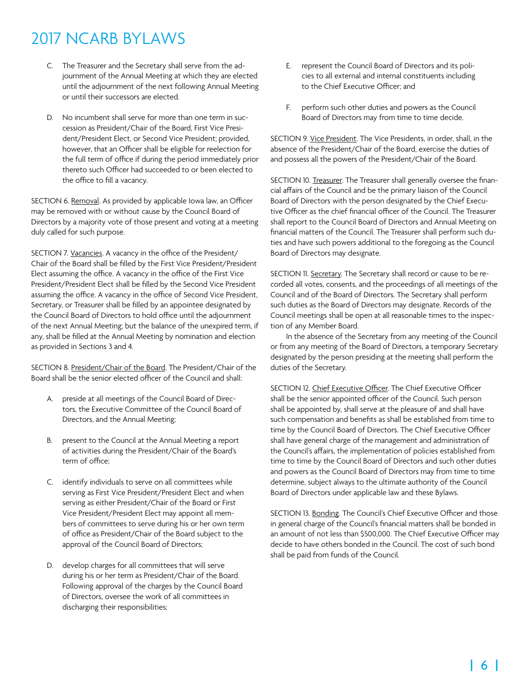- C. The Treasurer and the Secretary shall serve from the adjournment of the Annual Meeting at which they are elected until the adjournment of the next following Annual Meeting or until their successors are elected.
- D. No incumbent shall serve for more than one term in succession as President/Chair of the Board, First Vice President/President Elect, or Second Vice President; provided, however, that an Officer shall be eligible for reelection for the full term of office if during the period immediately prior thereto such Officer had succeeded to or been elected to the office to fill a vacancy.

SECTION 6. Removal. As provided by applicable Iowa law, an Officer may be removed with or without cause by the Council Board of Directors by a majority vote of those present and voting at a meeting duly called for such purpose.

SECTION 7. Vacancies. A vacancy in the office of the President/ Chair of the Board shall be filled by the First Vice President/President Elect assuming the office. A vacancy in the office of the First Vice President/President Elect shall be filled by the Second Vice President assuming the office. A vacancy in the office of Second Vice President, Secretary, or Treasurer shall be filled by an appointee designated by the Council Board of Directors to hold office until the adjournment of the next Annual Meeting; but the balance of the unexpired term, if any, shall be filled at the Annual Meeting by nomination and election as provided in Sections 3 and 4.

SECTION 8. President/Chair of the Board. The President/Chair of the Board shall be the senior elected officer of the Council and shall:

- A. preside at all meetings of the Council Board of Directors, the Executive Committee of the Council Board of Directors, and the Annual Meeting;
- B. present to the Council at the Annual Meeting a report of activities during the President/Chair of the Board's term of office;
- C. identify individuals to serve on all committees while serving as First Vice President/President Elect and when serving as either President/Chair of the Board or First Vice President/President Elect may appoint all members of committees to serve during his or her own term of office as President/Chair of the Board subject to the approval of the Council Board of Directors;
- D. develop charges for all committees that will serve during his or her term as President/Chair of the Board. Following approval of the charges by the Council Board of Directors, oversee the work of all committees in discharging their responsibilities;
- E. represent the Council Board of Directors and its policies to all external and internal constituents including to the Chief Executive Officer; and
- F. perform such other duties and powers as the Council Board of Directors may from time to time decide.

SECTION 9. Vice President. The Vice Presidents, in order, shall, in the absence of the President/Chair of the Board, exercise the duties of and possess all the powers of the President/Chair of the Board.

SECTION 10. Treasurer. The Treasurer shall generally oversee the financial affairs of the Council and be the primary liaison of the Council Board of Directors with the person designated by the Chief Executive Officer as the chief financial officer of the Council. The Treasurer shall report to the Council Board of Directors and Annual Meeting on financial matters of the Council. The Treasurer shall perform such duties and have such powers additional to the foregoing as the Council Board of Directors may designate.

SECTION 11. Secretary. The Secretary shall record or cause to be recorded all votes, consents, and the proceedings of all meetings of the Council and of the Board of Directors. The Secretary shall perform such duties as the Board of Directors may designate. Records of the Council meetings shall be open at all reasonable times to the inspection of any Member Board.

In the absence of the Secretary from any meeting of the Council or from any meeting of the Board of Directors, a temporary Secretary designated by the person presiding at the meeting shall perform the duties of the Secretary.

SECTION 12. Chief Executive Officer. The Chief Executive Officer shall be the senior appointed officer of the Council. Such person shall be appointed by, shall serve at the pleasure of and shall have such compensation and benefits as shall be established from time to time by the Council Board of Directors. The Chief Executive Officer shall have general charge of the management and administration of the Council's affairs, the implementation of policies established from time to time by the Council Board of Directors and such other duties and powers as the Council Board of Directors may from time to time determine, subject always to the ultimate authority of the Council Board of Directors under applicable law and these Bylaws.

SECTION 13. Bonding. The Council's Chief Executive Officer and those in general charge of the Council's financial matters shall be bonded in an amount of not less than \$500,000. The Chief Executive Officer may decide to have others bonded in the Council. The cost of such bond shall be paid from funds of the Council.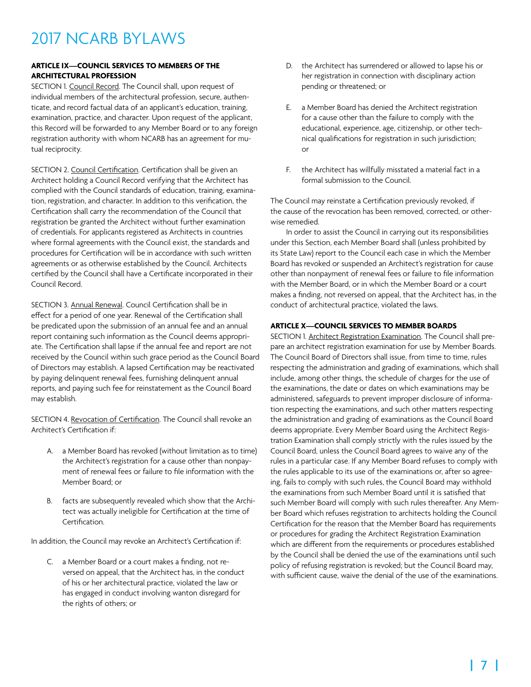### **ARTICLE IX—COUNCIL SERVICES TO MEMBERS OF THE ARCHITECTURAL PROFESSION**

SECTION 1. Council Record. The Council shall, upon request of individual members of the architectural profession, secure, authenticate, and record factual data of an applicant's education, training, examination, practice, and character. Upon request of the applicant, this Record will be forwarded to any Member Board or to any foreign registration authority with whom NCARB has an agreement for mutual reciprocity.

SECTION 2. Council Certification. Certification shall be given an Architect holding a Council Record verifying that the Architect has complied with the Council standards of education, training, examination, registration, and character. In addition to this verification, the Certification shall carry the recommendation of the Council that registration be granted the Architect without further examination of credentials. For applicants registered as Architects in countries where formal agreements with the Council exist, the standards and procedures for Certification will be in accordance with such written agreements or as otherwise established by the Council. Architects certified by the Council shall have a Certificate incorporated in their Council Record.

SECTION 3. Annual Renewal. Council Certification shall be in effect for a period of one year. Renewal of the Certification shall be predicated upon the submission of an annual fee and an annual report containing such information as the Council deems appropriate. The Certification shall lapse if the annual fee and report are not received by the Council within such grace period as the Council Board of Directors may establish. A lapsed Certification may be reactivated by paying delinquent renewal fees, furnishing delinquent annual reports, and paying such fee for reinstatement as the Council Board may establish.

SECTION 4. Revocation of Certification. The Council shall revoke an Architect's Certification if:

- A. a Member Board has revoked (without limitation as to time) the Architect's registration for a cause other than nonpayment of renewal fees or failure to file information with the Member Board; or
- B. facts are subsequently revealed which show that the Architect was actually ineligible for Certification at the time of Certification.

In addition, the Council may revoke an Architect's Certification if:

C. a Member Board or a court makes a finding, not reversed on appeal, that the Architect has, in the conduct of his or her architectural practice, violated the law or has engaged in conduct involving wanton disregard for the rights of others; or

- D. the Architect has surrendered or allowed to lapse his or her registration in connection with disciplinary action pending or threatened; or
- E. a Member Board has denied the Architect registration for a cause other than the failure to comply with the educational, experience, age, citizenship, or other technical qualifications for registration in such jurisdiction; or
- F. the Architect has willfully misstated a material fact in a formal submission to the Council.

The Council may reinstate a Certification previously revoked, if the cause of the revocation has been removed, corrected, or otherwise remedied.

In order to assist the Council in carrying out its responsibilities under this Section, each Member Board shall (unless prohibited by its State Law) report to the Council each case in which the Member Board has revoked or suspended an Architect's registration for cause other than nonpayment of renewal fees or failure to file information with the Member Board, or in which the Member Board or a court makes a finding, not reversed on appeal, that the Architect has, in the conduct of architectural practice, violated the laws.

### **ARTICLE X—COUNCIL SERVICES TO MEMBER BOARDS**

SECTION 1. Architect Registration Examination. The Council shall prepare an architect registration examination for use by Member Boards. The Council Board of Directors shall issue, from time to time, rules respecting the administration and grading of examinations, which shall include, among other things, the schedule of charges for the use of the examinations, the date or dates on which examinations may be administered, safeguards to prevent improper disclosure of information respecting the examinations, and such other matters respecting the administration and grading of examinations as the Council Board deems appropriate. Every Member Board using the Architect Registration Examination shall comply strictly with the rules issued by the Council Board, unless the Council Board agrees to waive any of the rules in a particular case. If any Member Board refuses to comply with the rules applicable to its use of the examinations or, after so agreeing, fails to comply with such rules, the Council Board may withhold the examinations from such Member Board until it is satisfied that such Member Board will comply with such rules thereafter. Any Member Board which refuses registration to architects holding the Council Certification for the reason that the Member Board has requirements or procedures for grading the Architect Registration Examination which are different from the requirements or procedures established by the Council shall be denied the use of the examinations until such policy of refusing registration is revoked; but the Council Board may, with sufficient cause, waive the denial of the use of the examinations.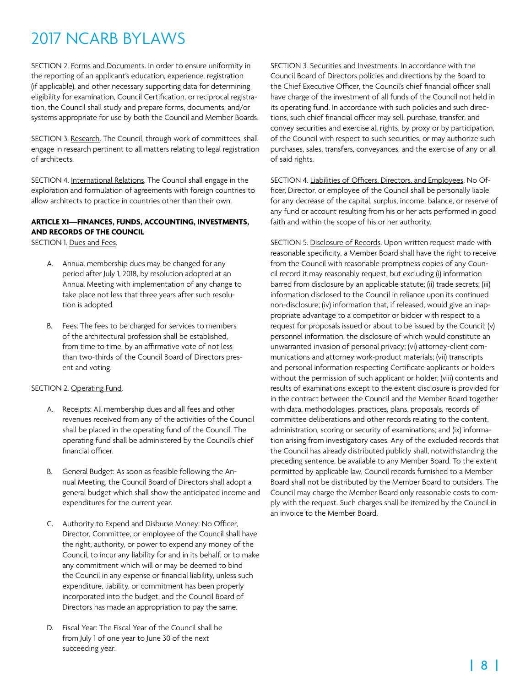SECTION 2. Forms and Documents. In order to ensure uniformity in the reporting of an applicant's education, experience, registration (if applicable), and other necessary supporting data for determining eligibility for examination, Council Certification, or reciprocal registration, the Council shall study and prepare forms, documents, and/or systems appropriate for use by both the Council and Member Boards.

SECTION 3. Research. The Council, through work of committees, shall engage in research pertinent to all matters relating to legal registration of architects.

SECTION 4. International Relations. The Council shall engage in the exploration and formulation of agreements with foreign countries to allow architects to practice in countries other than their own.

### **ARTICLE XI—FINANCES, FUNDS, ACCOUNTING, INVESTMENTS, AND RECORDS OF THE COUNCIL**

SECTION 1. Dues and Fees.

- A. Annual membership dues may be changed for any period after July 1, 2018, by resolution adopted at an Annual Meeting with implementation of any change to take place not less that three years after such resolution is adopted.
- B. Fees: The fees to be charged for services to members of the architectural profession shall be established, from time to time, by an affirmative vote of not less than two-thirds of the Council Board of Directors present and voting.

### SECTION 2. Operating Fund.

- A. Receipts: All membership dues and all fees and other revenues received from any of the activities of the Council shall be placed in the operating fund of the Council. The operating fund shall be administered by the Council's chief financial officer.
- B. General Budget: As soon as feasible following the Annual Meeting, the Council Board of Directors shall adopt a general budget which shall show the anticipated income and expenditures for the current year.
- C. Authority to Expend and Disburse Money: No Officer, Director, Committee, or employee of the Council shall have the right, authority, or power to expend any money of the Council, to incur any liability for and in its behalf, or to make any commitment which will or may be deemed to bind the Council in any expense or financial liability, unless such expenditure, liability, or commitment has been properly incorporated into the budget, and the Council Board of Directors has made an appropriation to pay the same.
- D. Fiscal Year: The Fiscal Year of the Council shall be from July 1 of one year to June 30 of the next succeeding year.

SECTION 3. Securities and Investments. In accordance with the Council Board of Directors policies and directions by the Board to the Chief Executive Officer, the Council's chief financial officer shall have charge of the investment of all funds of the Council not held in its operating fund. In accordance with such policies and such directions, such chief financial officer may sell, purchase, transfer, and convey securities and exercise all rights, by proxy or by participation, of the Council with respect to such securities, or may authorize such purchases, sales, transfers, conveyances, and the exercise of any or all of said rights.

SECTION 4. Liabilities of Officers, Directors, and Employees. No Officer, Director, or employee of the Council shall be personally liable for any decrease of the capital, surplus, income, balance, or reserve of any fund or account resulting from his or her acts performed in good faith and within the scope of his or her authority.

SECTION 5. Disclosure of Records. Upon written request made with reasonable specificity, a Member Board shall have the right to receive from the Council with reasonable promptness copies of any Council record it may reasonably request, but excluding (i) information barred from disclosure by an applicable statute; (ii) trade secrets; (iii) information disclosed to the Council in reliance upon its continued non-disclosure; (iv) information that, if released, would give an inappropriate advantage to a competitor or bidder with respect to a request for proposals issued or about to be issued by the Council; (v) personnel information, the disclosure of which would constitute an unwarranted invasion of personal privacy; (vi) attorney-client communications and attorney work-product materials; (vii) transcripts and personal information respecting Certificate applicants or holders without the permission of such applicant or holder; (viii) contents and results of examinations except to the extent disclosure is provided for in the contract between the Council and the Member Board together with data, methodologies, practices, plans, proposals, records of committee deliberations and other records relating to the content, administration, scoring or security of examinations; and (ix) information arising from investigatory cases. Any of the excluded records that the Council has already distributed publicly shall, notwithstanding the preceding sentence, be available to any Member Board. To the extent permitted by applicable law, Council records furnished to a Member Board shall not be distributed by the Member Board to outsiders. The Council may charge the Member Board only reasonable costs to comply with the request. Such charges shall be itemized by the Council in an invoice to the Member Board.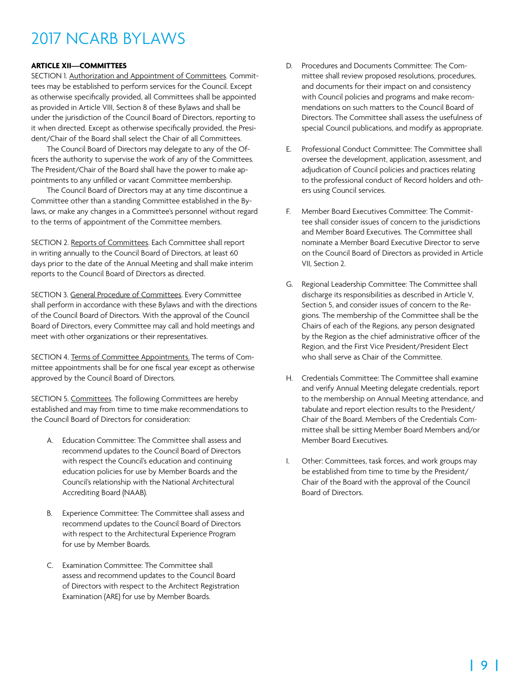### **ARTICLE XII—COMMITTEES**

SECTION 1. Authorization and Appointment of Committees. Committees may be established to perform services for the Council. Except as otherwise specifically provided, all Committees shall be appointed as provided in Article VIII, Section 8 of these Bylaws and shall be under the jurisdiction of the Council Board of Directors, reporting to it when directed. Except as otherwise specifically provided, the President/Chair of the Board shall select the Chair of all Committees.

The Council Board of Directors may delegate to any of the Officers the authority to supervise the work of any of the Committees. The President/Chair of the Board shall have the power to make appointments to any unfilled or vacant Committee membership.

The Council Board of Directors may at any time discontinue a Committee other than a standing Committee established in the Bylaws, or make any changes in a Committee's personnel without regard to the terms of appointment of the Committee members.

SECTION 2. Reports of Committees. Each Committee shall report in writing annually to the Council Board of Directors, at least 60 days prior to the date of the Annual Meeting and shall make interim reports to the Council Board of Directors as directed.

SECTION 3. General Procedure of Committees. Every Committee shall perform in accordance with these Bylaws and with the directions of the Council Board of Directors. With the approval of the Council Board of Directors, every Committee may call and hold meetings and meet with other organizations or their representatives.

SECTION 4. Terms of Committee Appointments. The terms of Committee appointments shall be for one fiscal year except as otherwise approved by the Council Board of Directors.

SECTION 5. Committees. The following Committees are hereby established and may from time to time make recommendations to the Council Board of Directors for consideration:

- A. Education Committee: The Committee shall assess and recommend updates to the Council Board of Directors with respect the Council's education and continuing education policies for use by Member Boards and the Council's relationship with the National Architectural Accrediting Board (NAAB).
- B. Experience Committee: The Committee shall assess and recommend updates to the Council Board of Directors with respect to the Architectural Experience Program for use by Member Boards.
- C. Examination Committee: The Committee shall assess and recommend updates to the Council Board of Directors with respect to the Architect Registration Examination (ARE) for use by Member Boards.
- D. Procedures and Documents Committee: The Committee shall review proposed resolutions, procedures, and documents for their impact on and consistency with Council policies and programs and make recommendations on such matters to the Council Board of Directors. The Committee shall assess the usefulness of special Council publications, and modify as appropriate.
- E. Professional Conduct Committee: The Committee shall oversee the development, application, assessment, and adjudication of Council policies and practices relating to the professional conduct of Record holders and others using Council services.
- F. Member Board Executives Committee: The Committee shall consider issues of concern to the jurisdictions and Member Board Executives. The Committee shall nominate a Member Board Executive Director to serve on the Council Board of Directors as provided in Article VII, Section 2.
- G. Regional Leadership Committee: The Committee shall discharge its responsibilities as described in Article V, Section 5, and consider issues of concern to the Regions. The membership of the Committee shall be the Chairs of each of the Regions, any person designated by the Region as the chief administrative officer of the Region, and the First Vice President/President Elect who shall serve as Chair of the Committee.
- H. Credentials Committee: The Committee shall examine and verify Annual Meeting delegate credentials, report to the membership on Annual Meeting attendance, and tabulate and report election results to the President/ Chair of the Board. Members of the Credentials Committee shall be sitting Member Board Members and/or Member Board Executives.
- I. Other: Committees, task forces, and work groups may be established from time to time by the President/ Chair of the Board with the approval of the Council Board of Directors.